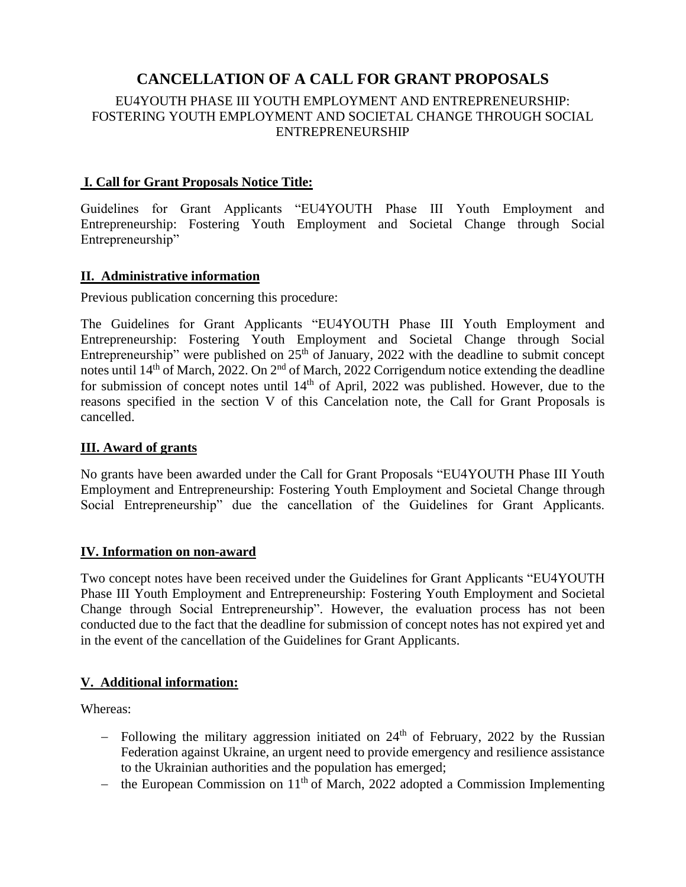# **CANCELLATION OF A CALL FOR GRANT PROPOSALS**

## EU4YOUTH PHASE III YOUTH EMPLOYMENT AND ENTREPRENEURSHIP: FOSTERING YOUTH EMPLOYMENT AND SOCIETAL CHANGE THROUGH SOCIAL ENTREPRENEURSHIP

## **I. Call for Grant Proposals Notice Title:**

Guidelines for Grant Applicants "EU4YOUTH Phase III Youth Employment and Entrepreneurship: Fostering Youth Employment and Societal Change through Social Entrepreneurship"

#### **II. Administrative information**

Previous publication concerning this procedure:

The Guidelines for Grant Applicants "EU4YOUTH Phase III Youth Employment and Entrepreneurship: Fostering Youth Employment and Societal Change through Social Entrepreneurship" were published on  $25<sup>th</sup>$  of January, 2022 with the deadline to submit concept notes until 14<sup>th</sup> of March, 2022. On 2<sup>nd</sup> of March, 2022 Corrigendum notice extending the deadline for submission of concept notes until  $14<sup>th</sup>$  of April, 2022 was published. However, due to the reasons specified in the section V of this Cancelation note, the Call for Grant Proposals is cancelled.

### **III. Award of grants**

No grants have been awarded under the Call for Grant Proposals "EU4YOUTH Phase III Youth Employment and Entrepreneurship: Fostering Youth Employment and Societal Change through Social Entrepreneurship" due the cancellation of the Guidelines for Grant Applicants.

#### **IV. Information on non-award**

Two concept notes have been received under the Guidelines for Grant Applicants "EU4YOUTH Phase III Youth Employment and Entrepreneurship: Fostering Youth Employment and Societal Change through Social Entrepreneurship". However, the evaluation process has not been conducted due to the fact that the deadline for submission of concept notes has not expired yet and in the event of the cancellation of the Guidelines for Grant Applicants.

#### **V. Additional information:**

Whereas:

- − Following the military aggression initiated on 24<sup>th</sup> of February, 2022 by the Russian Federation against Ukraine, an urgent need to provide emergency and resilience assistance to the Ukrainian authorities and the population has emerged;
- − the European Commission on 11th of March, 2022 adopted a Commission Implementing